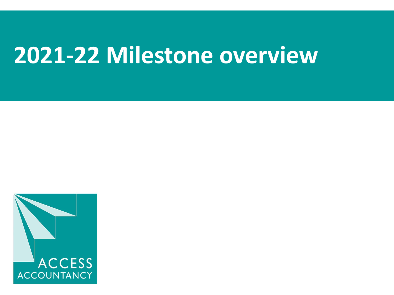## **2021-22 Milestone overview**

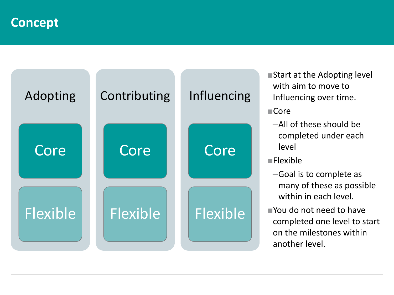**Concept**



■Start at the Adopting level with aim to move to Influencing over time.

■Core

- –All of these should be completed under each level
- ■Flexible
	- –Goal is to complete as many of these as possible within in each level.
- ■You do not need to have completed one level to start on the milestones within another level.